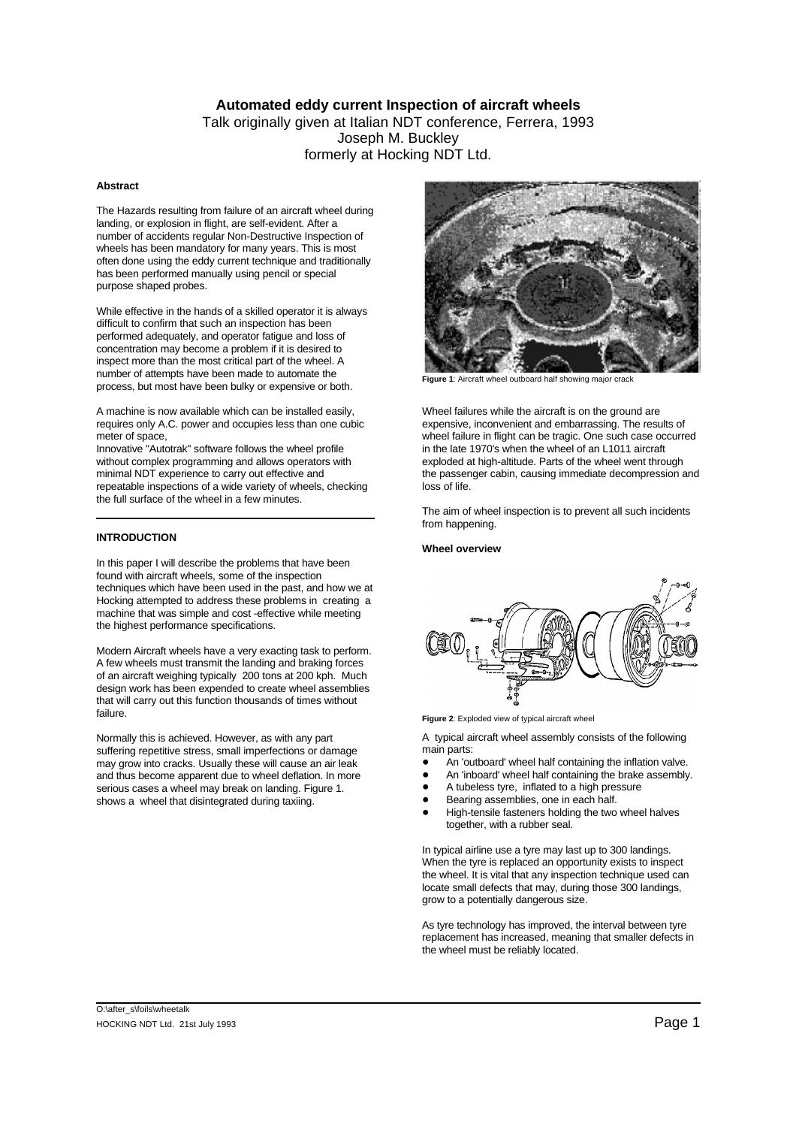# **Automated eddy current Inspection of aircraft wheels**

# Talk originally given at Italian NDT conference, Ferrera, 1993 Joseph M. Buckley formerly at Hocking NDT Ltd.

# **Abstract**

The Hazards resulting from failure of an aircraft wheel during landing, or explosion in flight, are self-evident. After a number of accidents regular Non-Destructive Inspection of wheels has been mandatory for many years. This is most often done using the eddy current technique and traditionally has been performed manually using pencil or special purpose shaped probes.

While effective in the hands of a skilled operator it is always difficult to confirm that such an inspection has been performed adequately, and operator fatigue and loss of concentration may become a problem if it is desired to inspect more than the most critical part of the wheel. A number of attempts have been made to automate the process, but most have been bulky or expensive or both.

A machine is now available which can be installed easily, Wheel failures while the aircraft is on the ground are requires only A.C. power and occupies less than one cubic expensive, inconvenient and embarrassing. The results of

Innovative "Autotrak" software follows the wheel profile in the late 1970's when the wheel of an L1011 aircraft<br>without complex programming and allows operators with exploded at high-altitude. Parts of the wheel went throi repeatable inspections of a wide variety of wheels, checking loss of life. the full surface of the wheel in a few minutes.

# **INTRODUCTION**

In this paper I will describe the problems that have been found with aircraft wheels, some of the inspection techniques which have been used in the past, and how we at Hocking attempted to address these problems in creating a machine that was simple and cost -effective while meeting the highest performance specifications.

Modern Aircraft wheels have a very exacting task to perform. A few wheels must transmit the landing and braking forces of an aircraft weighing typically 200 tons at 200 kph. Much design work has been expended to create wheel assemblies that will carry out this function thousands of times without failure.

Normally this is achieved. However, as with any part suffering repetitive stress, small imperfections or damage may grow into cracks. Usually these will cause an air leak and thus become apparent due to wheel deflation. In more serious cases a wheel may break on landing. Figure 1. shows a wheel that disintegrated during taxiing.



**Figure 1**: Aircraft wheel outboard half showing major crack

meter of space, wheel failure in flight can be tragic. One such case occurred exploded at high-altitude. Parts of the wheel went through minimal NDT experience to carry out effective and the passenger cabin, causing immediate decompression and

> The aim of wheel inspection is to prevent all such incidents from happening.

### **Wheel overview**



**Figure 2:** Exploded view of typical aircraft wheel

A typical aircraft wheel assembly consists of the following main parts:

- An 'outboard' wheel half containing the inflation valve.
- An 'inboard' wheel half containing the brake assembly.
- ! A tubeless tyre, inflated to a high pressure
- Bearing assemblies, one in each half.
- High-tensile fasteners holding the two wheel halves together, with a rubber seal.

In typical airline use a tyre may last up to 300 landings. When the tyre is replaced an opportunity exists to inspect the wheel. It is vital that any inspection technique used can locate small defects that may, during those 300 landings, grow to a potentially dangerous size.

As tyre technology has improved, the interval between tyre replacement has increased, meaning that smaller defects in the wheel must be reliably located.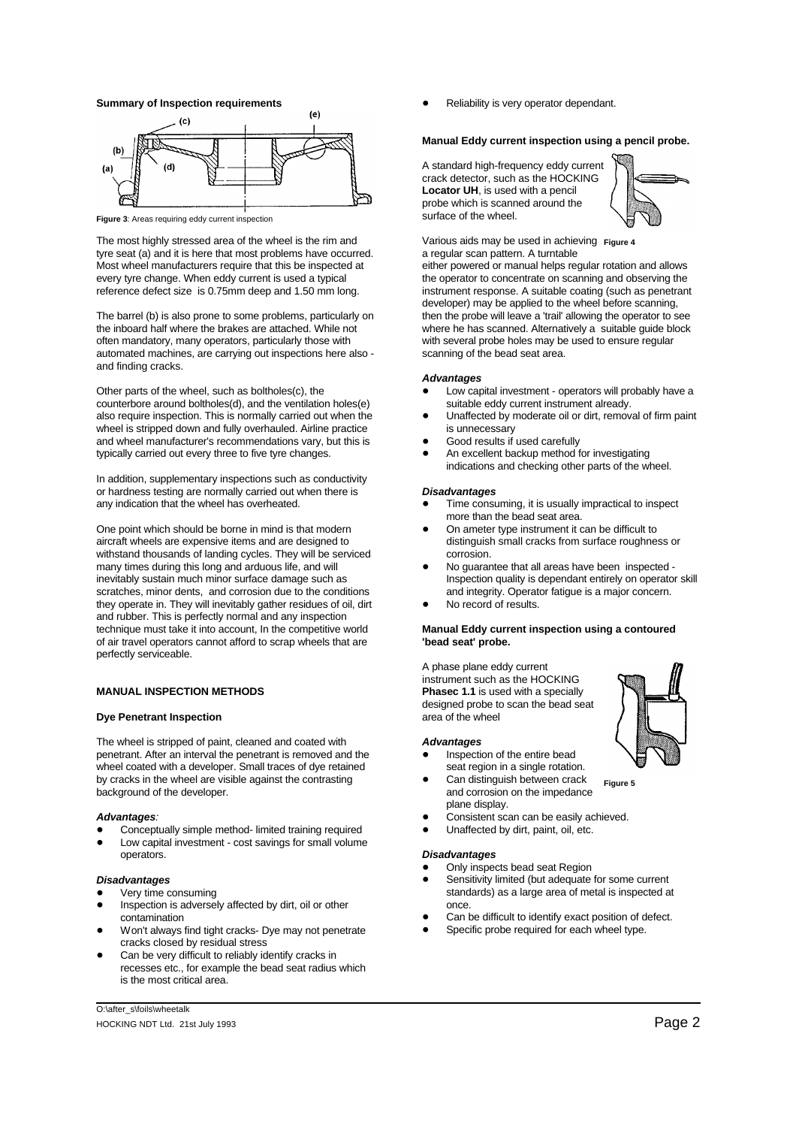

**Figure 3**: Areas requiring eddy current inspection

The most highly stressed area of the wheel is the rim and tyre seat (a) and it is here that most problems have occurred. a regular scan pattern. A turntable Most wheel manufacturers require that this be inspected at either powered or manual helps regular rotation and allows every tyre change. When eddy current is used a typical the operator to concentrate on scanning and observing the reference defect size is 0.75mm deep and 1.50 mm long. instrument response. A suitable coating (such as penetrant

the inboard half where the brakes are attached. While not where he has scanned. Alternatively a suitable guide block often mandatory, many operators, particularly those with with several probe holes may be used to ensure regular automated machines, are carrying out inspections here also - scanning of the bead seat area. and finding cracks.

Other parts of the wheel, such as boltholes(c), the  $\bullet$  Low capital investment - operators will probably have a counterbore around boltholes(d), and the ventilation holes(e) suitable eddy current instrument already.<br>also require inspection. This is normally carried out when the Unaffected by moderate oil or dirt, removal of firm pai also require inspection. This is normally carried out when the wheel is stripped down and fully overhauled. Airline practice is unnecessary and wheel manufacturer's recommendations vary, but this is  $\bullet$  Good results if used carefully typically carried out every three to five tyre changes.  $\bullet$  An excellent backup method for investigating

In addition, supplementary inspections such as conductivity or hardness testing are normally carried out when there is **Disadvantages**<br>any indication that the wheel has overheated. **In the state of the Constanting Constanting Constanting Constanting Constanting Constanting Constant** 

One point which should be borne in mind is that modern **...** On ameter type instrument it can be difficult to aircraft wheels are expensive items and are designed to distinguish small cracks from surface roughness or withstand thousands of landing cycles. They will be serviced corrosion. many times during this long and arduous life, and will  $\bullet$  No guarantee that all areas have been inspected -<br>inspection quality is dependant entirely on operator scratches, minor dents, and corrosion due to the conditions and integrity. Operator fatigue is a major concern. they operate in. They will inevitably gather residues of oil, dirt **... No record of results.** and rubber. This is perfectly normal and any inspection technique must take it into account, In the competitive world **Manual Eddy current inspection using a contoured** of air travel operators cannot afford to scrap wheels that are **'bead seat' probe.** perfectly serviceable.

### **MANUAL INSPECTION METHODS Phasec 1.1** is used with a specially

### **Dye Penetrant Inspection** area of the wheel

The wheel is stripped of paint, cleaned and coated with **Advantages**<br>
penetrant. After an interval the penetrant is removed and the **Advantages**<br> **Advantages** penetrant. After an interval the penetrant is removed and the **Inspection of the entire bead**<br>wheel coated with a developer. Small traces of dye retained seat region in a single rotation. wheel coated with a developer. Small traces of dye retained by cracks in the wheel are visible against the contrasting **. Can distinguish between crack** background of the developer. The impedance of the developer.

- Conceptually simple method- limited training required
- Low capital investment cost savings for small volume operators.

# *Disadvantages*

- Very time consuming
- Inspection is adversely affected by dirt, oil or other contamination
- Won't always find tight cracks- Dye may not penetrate cracks closed by residual stress
- Can be very difficult to reliably identify cracks in recesses etc., for example the bead seat radius which is the most critical area.

**Summary of Inspection requirements**  $\qquad \qquad \bullet \qquad$  Reliability is very operator dependant.

### **Manual Eddy current inspection using a pencil probe.**

A standard high-frequency eddy current crack detector, such as the HOCKING **Locator UH**, is used with a pencil probe which is scanned around the surface of the wheel.



Various aids may be used in achieving **Figure 4** 

The barrel (b) is also prone to some problems, particularly on then the probe will leave a 'trail' allowing the operator to see developer) may be applied to the wheel before scanning,

### *Advantages*

- 
- 
- 
- indications and checking other parts of the wheel.

- Time consuming, it is usually impractical to inspect more than the bead seat area.
- 
- Inspection quality is dependant entirely on operator skill
- 

A phase plane eddy current instrument such as the HOCKING designed probe to scan the bead seat

- 
- **Figure 5** plane display.
- **Advantages**: **and a structure of the constant of the consistent scan can be easily achieved.** 
	- Unaffected by dirt, paint, oil, etc.

### *Disadvantages*

- Only inspects bead seat Region
- Sensitivity limited (but adequate for some current standards) as a large area of metal is inspected at once.
- Can be difficult to identify exact position of defect.
- Specific probe required for each wheel type.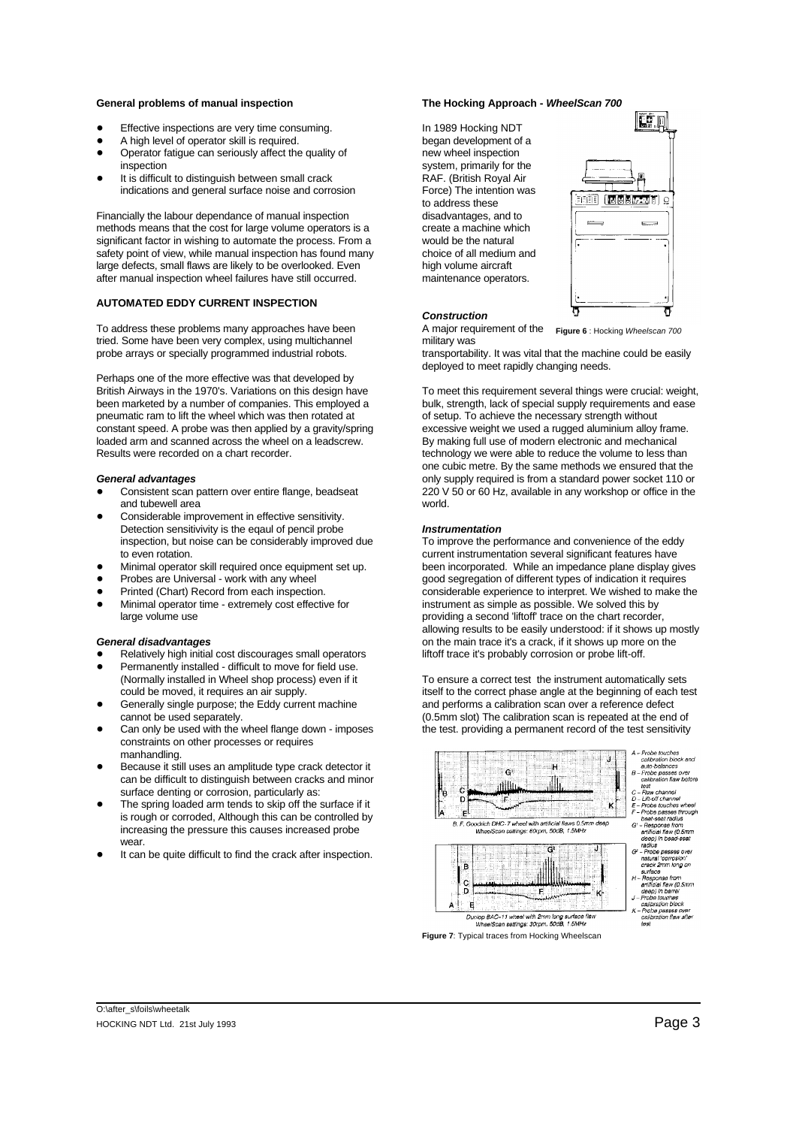### **General problems of manual inspection The Hocking Approach -** *WheelScan 700*

- Effective inspections are very time consuming. The local only 1989 Hocking NDT
- 
- A high level of operator skill is required.<br>
Operator fatigue can seriously affect the quality of hew wheel inspection . Operator fatigue can seriously affect the quality of
- inspection<br>
It is difficult to distinguish between small crack<br>
It is difficult to distinguish between small crack<br>
The South of RAF. (British Royal Air  $\bullet$  It is difficult to distinguish between small crack indications and general surface noise and corrosion Force) The intention was

Financially the labour dependance of manual inspection disadvantages, and to methods means that the cost for large volume operators is a create a machine which significant factor in wishing to automate the process. From a would be the natural significant factor in wishing to automate the process. From a safety point of view, while manual inspection has found many choice of all medium and large defects, small flaws are likely to be overlooked. Even high volume aircraft after manual inspection wheel failures have still occurred. maintenance operators.

### **AUTOMATED EDDY CURRENT INSPECTION**

To address these problems many approaches have been A major requirement of the tried. Some have been very complex, using multichannel military was

Perhaps one of the more effective was that developed by British Airways in the 1970's. Variations on this design have To meet this requirement several things were crucial: weight, been marketed by a number of companies. This employed a bulk, strength, lack of special supply requirements and ease<br>pneumatic ram to lift the wheel which was then rotated at of setup. To achieve the necessary strength wit pneumatic ram to lift the wheel which was then rotated at constant speed. A probe was then applied by a gravity/spring excessive weight we used a rugged aluminium alloy frame. loaded arm and scanned across the wheel on a leadscrew. By making full use of modern electronic and mechanical Results were recorded on a chart recorder. The state of the values of technology we were able to reduce the volume to less than

- and tubewell area
- Considerable improvement in effective sensitivity. Detection sensitivivity is the eqaul of pencil probe *Instrumentation*
- 
- 
- 
- 

- Relatively high initial cost discourages small operators liftoff trace it's probably corrosion or probe lift-off.
- Permanently installed difficult to move for field use.<br>(Normally installed in Wheel shop process) even if it
- 
- constraints on other processes or requires manhandling.
- Because it still uses an amplitude type crack detector it can be difficult to distinguish between cracks and minor surface denting or corrosion, particularly as:
- The spring loaded arm tends to skip off the surface if it is rough or corroded, Although this can be controlled by increasing the pressure this causes increased probe wear.
- It can be quite difficult to find the crack after inspection.

to address these



### *Construction*

**Figure 6** : Hocking *Wheelscan 700*

probe arrays or specially programmed industrial robots. The transportability. It was vital that the machine could be easily deployed to meet rapidly changing needs.

one cubic metre. By the same methods we ensured that the *General advantages* only supply required is from a standard power socket 110 or ! Consistent scan pattern over entire flange, beadseat 220 V 50 or 60 Hz, available in any workshop or office in the

inspection, but noise can be considerably improved due To improve the performance and convenience of the eddy to even rotation. **current instrumentation several significant features have** current instrumentation several significant features have • Minimal operator skill required once equipment set up. been incorporated. While an impedance plane display gives<br>• Probes are Universal - work with any wheel **probes** good sequention of different types of indication it r good segregation of different types of indication it requires • Printed (Chart) Record from each inspection. considerable experience to interpret. We wished to make the Minimal operator time - extremely cost effective for instrument as simple as possible. We solved this by large volume use providing a second 'liftoff' trace on the chart recorder, allowing results to be easily understood: if it shows up mostly *General disadvantages* on the main trace it's a crack, if it shows up more on the

To ensure a correct test the instrument automatically sets could be moved, it requires an air supply. itself to the correct phase angle at the beginning of each test Generally single purpose; the Eddy current machine and performs a calibration scan over a reference defect cannot be used separately. (0.5mm slot) The calibration scan is repeated at the end of Can only be used with the wheel flange down - imposes the test. providing a permanent record of the test sensitivity





- 
-